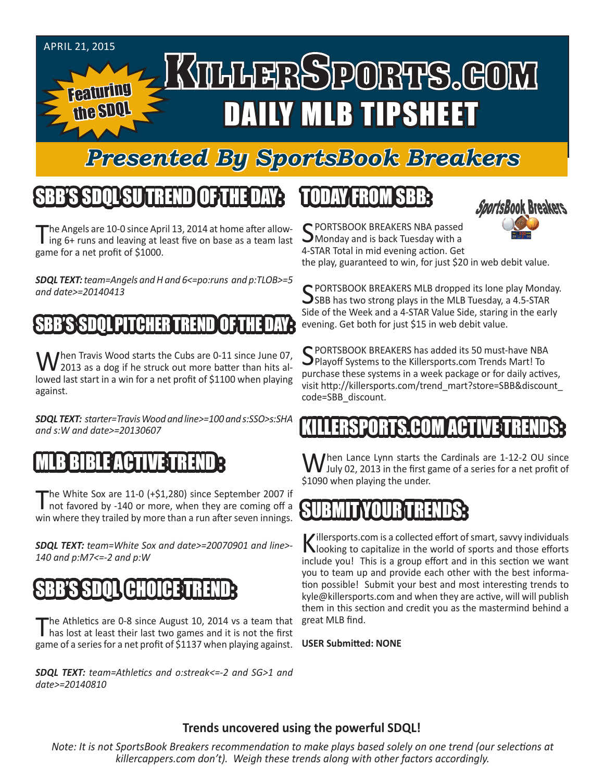#### APRIL 21, 2015 KTLLERSPORTS.GOM Featuring DAILY MLB TIPSHEET the SDQL

### *Presented By SportsBook Breakers*

## SBB'S SDQLSU TREND OF THE DAY:

The Angels are 10-0 since April 13, 2014 at home after allow-<br>ing 6+ runs and leaving at least five on base as a team last game for a net profit of \$1000.

*SDQL TEXT: team=Angels and H and 6<=po:runs and p:TLOB>=5 and date>=20140413*

#### SBB'S SDOL PITCHER TREND

When Travis Wood starts the Cubs are 0-11 since June 07,<br>2013 as a dog if he struck out more batter than hits allowed last start in a win for a net profit of \$1100 when playing against.

*SDQL TEXT: starter=Travis Wood and line>=100 and s:SSO>s:SHA and s:W and date>=20130607*

#### FART

The White Sox are 11-0 (+\$1,280) since September 2007 if not favored by -140 or more, when they are coming off a win where they trailed by more than a run after seven innings.

*SDQL TEXT: team=White Sox and date>=20070901 and line>- 140 and p:M7<=-2 and p:W*

#### GHO

The Athletics are 0-8 since August 10, 2014 vs a team that has lost at least their last two games and it is not the first game of a series for a net profit of \$1137 when playing against. The Athletics are 0-8 since August 10, 2014 vs a team that great MLB find.

*SDQL TEXT: team=Athletics and o:streak<=-2 and SG>1 and date>=20140810*

### TODAY FROM SBB:



C PORTSBOOK BREAKERS NBA passed **J** Monday and is back Tuesday with a 4-STAR Total in mid evening action. Get

the play, guaranteed to win, for just \$20 in web debit value.

C PORTSBOOK BREAKERS MLB dropped its lone play Monday.  $\bigcup$ SBB has two strong plays in the MLB Tuesday, a 4.5-STAR Side of the Week and a 4-STAR Value Side, staring in the early evening. Get both for just \$15 in web debit value.

SPORTSBOOK BREAKERS has added its 50 must-have NBA **Playoff Systems to the Killersports.com Trends Mart! To** purchase these systems in a week package or for daily actives, visit http://killersports.com/trend\_mart?store=SBB&discount\_ code=SBB\_discount.

#### KILLERSPORTS.COM ACTIVE TRENDS:

M hen Lance Lynn starts the Cardinals are 1-12-2 OU since **V** July 02, 2013 in the first game of a series for a net profit of \$1090 when playing the under.

#### SUBMIT YOUR TRENDS:

Killersports.com is a collected effort of smart, savvy individuals<br>Nooking to capitalize in the world of sports and those efforts include you! This is a group effort and in this section we want you to team up and provide each other with the best information possible! Submit your best and most interesting trends to kyle@killersports.com and when they are active, will will publish them in this section and credit you as the mastermind behind a

**USER Submitted: NONE**

#### **Trends uncovered using the powerful SDQL!**

*Note: It is not SportsBook Breakers recommendation to make plays based solely on one trend (our selections at killercappers.com don't). Weigh these trends along with other factors accordingly.*